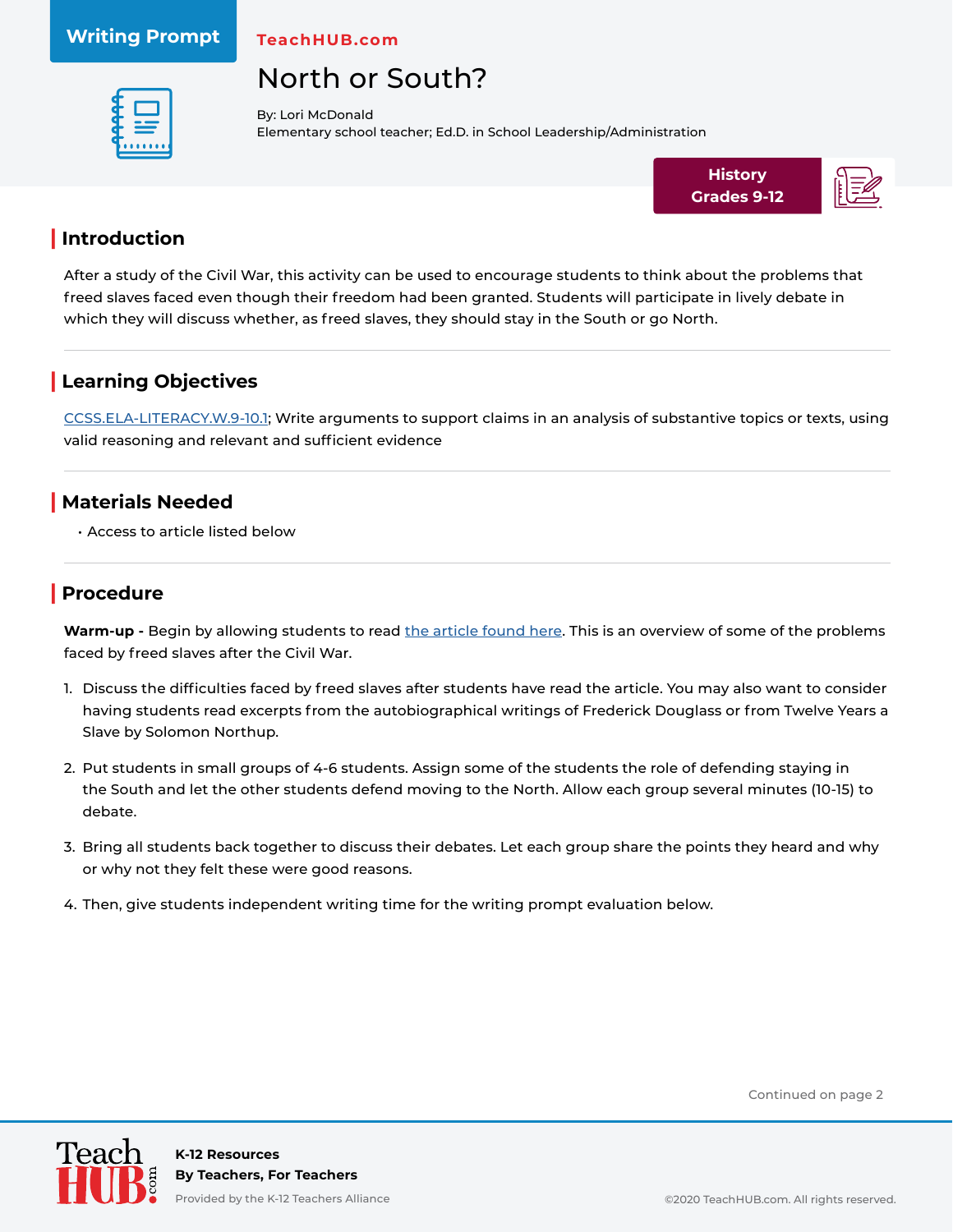#### **Writing Prompt**

**TeachHUB.com**

# North or South?



By: Lori McDonald Elementary school teacher; Ed.D. in School Leadership/Administration



#### **| Introduction**

After a study of the Civil War, this activity can be used to encourage students to think about the problems that freed slaves faced even though their freedom had been granted. Students will participate in lively debate in which they will discuss whether, as freed slaves, they should stay in the South or go North.

### **| Learning Objectives**

[CCSS.ELA-LITERACY.W.9-10.1](http://www.corestandards.org/ELA-Literacy/W/9-10/1/); Write arguments to support claims in an analysis of substantive topics or texts, using valid reasoning and relevant and sufficient evidence

#### **| Materials Needed**

• Access to article listed below

### **| Procedure**

Warm-up - Begin by allowing students to read [the article found here](https://www.khanacademy.org/humanities/us-history/civil-war-era/reconstruction/a/life-after-slavery). This is an overview of some of the problems faced by freed slaves after the Civil War.

- 1. Discuss the difficulties faced by freed slaves after students have read the article. You may also want to consider having students read excerpts from the autobiographical writings of Frederick Douglass or from Twelve Years a Slave by Solomon Northup.
- 2. Put students in small groups of 4-6 students. Assign some of the students the role of defending staying in the South and let the other students defend moving to the North. Allow each group several minutes (10-15) to debate.
- 3. Bring all students back together to discuss their debates. Let each group share the points they heard and why or why not they felt these were good reasons.
- 4. Then, give students independent writing time for the writing prompt evaluation below.

Continued on page 2